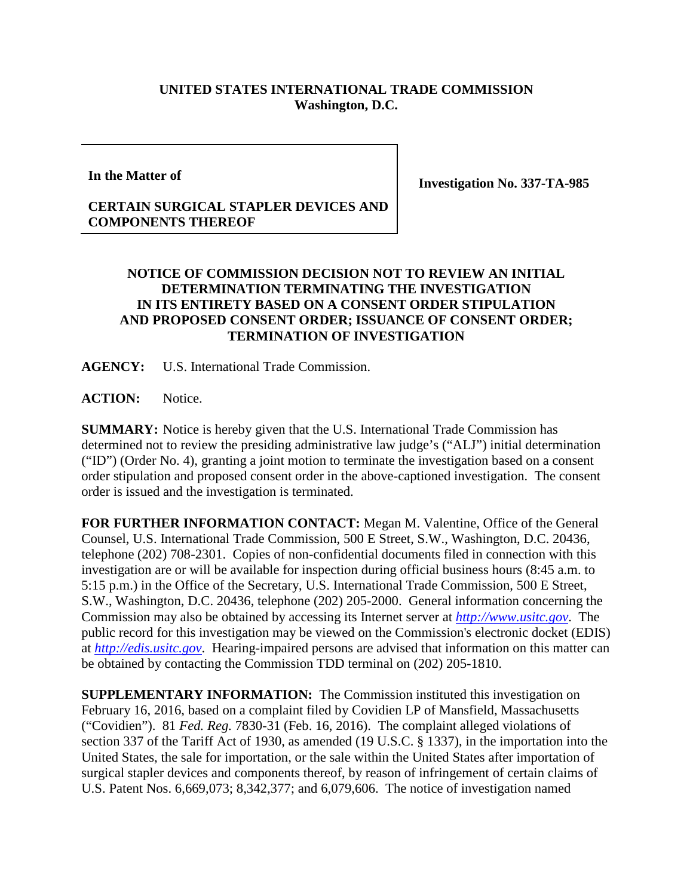## **UNITED STATES INTERNATIONAL TRADE COMMISSION Washington, D.C.**

**In the Matter of**

**Investigation No. 337-TA-985**

## **CERTAIN SURGICAL STAPLER DEVICES AND COMPONENTS THEREOF**

## **NOTICE OF COMMISSION DECISION NOT TO REVIEW AN INITIAL DETERMINATION TERMINATING THE INVESTIGATION IN ITS ENTIRETY BASED ON A CONSENT ORDER STIPULATION AND PROPOSED CONSENT ORDER; ISSUANCE OF CONSENT ORDER; TERMINATION OF INVESTIGATION**

**AGENCY:** U.S. International Trade Commission.

ACTION: Notice.

**SUMMARY:** Notice is hereby given that the U.S. International Trade Commission has determined not to review the presiding administrative law judge's ("ALJ") initial determination ("ID") (Order No. 4), granting a joint motion to terminate the investigation based on a consent order stipulation and proposed consent order in the above-captioned investigation. The consent order is issued and the investigation is terminated.

**FOR FURTHER INFORMATION CONTACT:** Megan M. Valentine, Office of the General Counsel, U.S. International Trade Commission, 500 E Street, S.W., Washington, D.C. 20436, telephone (202) 708-2301. Copies of non-confidential documents filed in connection with this investigation are or will be available for inspection during official business hours (8:45 a.m. to 5:15 p.m.) in the Office of the Secretary, U.S. International Trade Commission, 500 E Street, S.W., Washington, D.C. 20436, telephone (202) 205-2000. General information concerning the Commission may also be obtained by accessing its Internet server at *[http://www.usitc.gov](http://www.usitc.gov/)*. The public record for this investigation may be viewed on the Commission's electronic docket (EDIS) at *[http://edis.usitc.gov](http://edis.usitc.gov/)*. Hearing-impaired persons are advised that information on this matter can be obtained by contacting the Commission TDD terminal on (202) 205-1810.

**SUPPLEMENTARY INFORMATION:** The Commission instituted this investigation on February 16, 2016, based on a complaint filed by Covidien LP of Mansfield, Massachusetts ("Covidien"). 81 *Fed. Reg.* 7830-31 (Feb. 16, 2016). The complaint alleged violations of section 337 of the Tariff Act of 1930, as amended (19 U.S.C. § 1337), in the importation into the United States, the sale for importation, or the sale within the United States after importation of surgical stapler devices and components thereof, by reason of infringement of certain claims of U.S. Patent Nos. 6,669,073; 8,342,377; and 6,079,606. The notice of investigation named